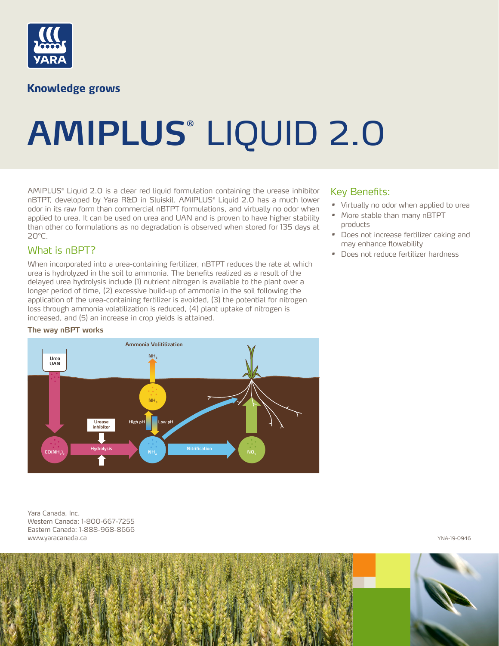

**Knowledge grows** 

# **AMIPLUS®** LIQUID 2.0

AMIPLUS® Liquid 2.0 is a clear red liquid formulation containing the urease inhibitor nBTPT, developed by Yara R&D in Sluiskil. AMIPLUS® Liquid 2.0 has a much lower odor in its raw form than commercial nBTPT formulations, and virtually no odor when applied to urea. It can be used on urea and UAN and is proven to have higher stability than other co formulations as no degradation is observed when stored for 135 days at  $20^{\circ}$ C.

#### What is nBPT?

When incorporated into a urea-containing fertilizer, nBTPT reduces the rate at which urea is hydrolyzed in the soil to ammonia. The benefits realized as a result of the delayed urea hydrolysis include (1) nutrient nitrogen is available to the plant over a longer period of time, (2) excessive build-up of ammonia in the soil following the application of the urea-containing fertilizer is avoided, (3) the potential for nitrogen loss through ammonia volatilization is reduced, (4) plant uptake of nitrogen is increased, and (5) an increase in crop yields is attained.

#### **The way nBPT works**



Yara Canada, Inc. Western Canada: 1-800-667-7255 Eastern Canada: 1-888-968-8666 www.yaracanada.ca YNA-19-0946

### Key Benefits:

- *•* Virtually no odor when applied to urea
- *•* More stable than many nBTPT products
- *•* Does not increase fertilizer caking and may enhance flowability
- *•* Does not reduce fertilizer hardness